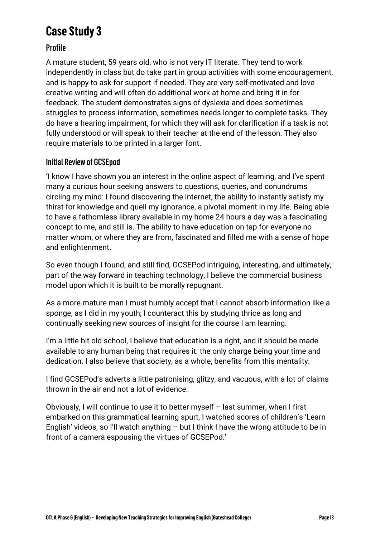# **Case Study 3**

# Profile

A mature student, 59 years old, who is not very IT literate. They tend to work independently in class but do take part in group activities with some encouragement, and is happy to ask for support if needed. They are very self-motivated and love creative writing and will often do additional work at home and bring it in for feedback. The student demonstrates signs of dyslexia and does sometimes struggles to process information, sometimes needs longer to complete tasks. They do have a hearing impairment, for which they will ask for clarification if a task is not fully understood or will speak to their teacher at the end of the lesson. They also require materials to be printed in a larger font.

# Initial Review of GCSEpod

**'**I know I have shown you an interest in the online aspect of learning, and I've spent many a curious hour seeking answers to questions, queries, and conundrums circling my mind: I found discovering the internet, the ability to instantly satisfy my thirst for knowledge and quell my ignorance, a pivotal moment in my life. Being able to have a fathomless library available in my home 24 hours a day was a fascinating concept to me, and still is. The ability to have education on tap for everyone no matter whom, or where they are from, fascinated and filled me with a sense of hope and enlightenment.

So even though I found, and still find, GCSEPod intriguing, interesting, and ultimately, part of the way forward in teaching technology, I believe the commercial business model upon which it is built to be morally repugnant.

As a more mature man I must humbly accept that I cannot absorb information like a sponge, as I did in my youth; I counteract this by studying thrice as long and continually seeking new sources of insight for the course I am learning.

I'm a little bit old school, I believe that education is a right, and it should be made available to any human being that requires it: the only charge being your time and dedication. I also believe that society, as a whole, benefits from this mentality.

I find GCSEPod's adverts a little patronising, glitzy, and vacuous, with a lot of claims thrown in the air and not a lot of evidence.

Obviously, I will continue to use it to better myself – last summer, when I first embarked on this grammatical learning spurt, I watched scores of children's 'Learn English' videos, so I'll watch anything – but I think I have the wrong attitude to be in front of a camera espousing the virtues of GCSEPod.'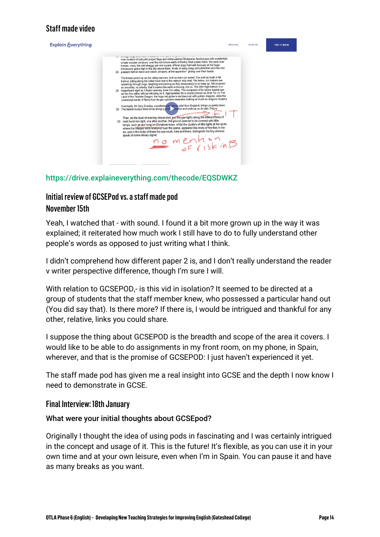# Staff made video



#### <https://drive.explaineverything.com/thecode/EQSDWKZ>

# Initial review of GCSEPod vs. a staff made pod November 15th

Yeah, I watched that - with sound. I found it a bit more grown up in the way it was explained; it reiterated how much work I still have to do to fully understand other people's words as opposed to just writing what I think.

I didn't comprehend how different paper 2 is, and I don't really understand the reader v writer perspective difference, though I'm sure I will.

With relation to GCSEPOD,- is this vid in isolation? It seemed to be directed at a group of students that the staff member knew, who possessed a particular hand out (You did say that). Is there more? If there is, I would be intrigued and thankful for any other, relative, links you could share.

I suppose the thing about GCSEPOD is the breadth and scope of the area it covers. I would like to be able to do assignments in my front room, on my phone, in Spain, wherever, and that is the promise of GCSEPOD: I just haven't experienced it yet.

The staff made pod has given me a real insight into GCSE and the depth I now know I need to demonstrate in GCSE.

#### Final Interview: 18th January

#### What were your initial thoughts about GCSEpod?

Originally I thought the idea of using pods in fascinating and I was certainly intrigued in the concept and usage of it. This is the future! It's flexible, as you can use it in your own time and at your own leisure, even when I'm in Spain. You can pause it and have as many breaks as you want.